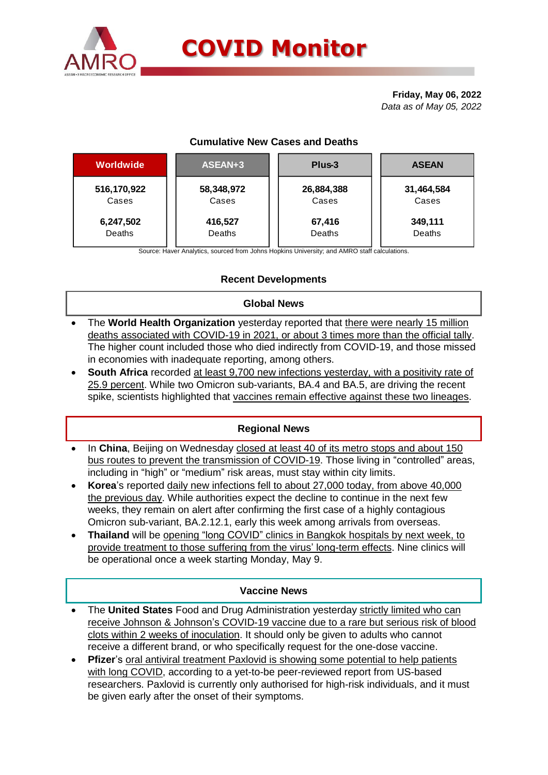

# **COVID Monitor**

**Friday, May 06, 2022** *Data as of May 05, 2022*

# **Cumulative New Cases and Deaths**

| Worldwide   | ASEAN+3    | Plus-3     | <b>ASEAN</b> |  |  |
|-------------|------------|------------|--------------|--|--|
| 516,170,922 | 58,348,972 | 26,884,388 | 31,464,584   |  |  |
| Cases       | Cases      | Cases      | Cases        |  |  |
| 6,247,502   | 416,527    | 67,416     | 349,111      |  |  |
| Deaths      | Deaths     | Deaths     | Deaths       |  |  |

Source: Haver Analytics, sourced from Johns Hopkins University; and AMRO staff calculations.

# **Recent Developments**

#### **Global News**

- The **World Health Organization** yesterday reported that there were nearly 15 million deaths associated with COVID-19 in 2021, or about 3 times more than the official tally. The higher count included those who died indirectly from COVID-19, and those missed in economies with inadequate reporting, among others.
- **South Africa** recorded at least 9,700 new infections yesterday, with a positivity rate of 25.9 percent. While two Omicron sub-variants, BA.4 and BA.5, are driving the recent spike, scientists highlighted that vaccines remain effective against these two lineages.

#### **Regional News**

- In **China**, Beijing on Wednesday closed at least 40 of its metro stops and about 150 bus routes to prevent the transmission of COVID-19. Those living in "controlled" areas, including in "high" or "medium" risk areas, must stay within city limits.
- **Korea**'s reported daily new infections fell to about 27,000 today, from above 40,000 the previous day. While authorities expect the decline to continue in the next few weeks, they remain on alert after confirming the first case of a highly contagious Omicron sub-variant, BA.2.12.1, early this week among arrivals from overseas.
- **Thailand** will be opening "long COVID" clinics in Bangkok hospitals by next week, to provide treatment to those suffering from the virus' long-term effects. Nine clinics will be operational once a week starting Monday, May 9.

### **Vaccine News**

- The **United States** Food and Drug Administration yesterday strictly limited who can receive Johnson & Johnson's COVID-19 vaccine due to a rare but serious risk of blood clots within 2 weeks of inoculation. It should only be given to adults who cannot receive a different brand, or who specifically request for the one-dose vaccine.
- **Pfizer**'s oral antiviral treatment Paxlovid is showing some potential to help patients with long COVID, according to a yet-to-be peer-reviewed report from US-based researchers. Paxlovid is currently only authorised for high-risk individuals, and it must be given early after the onset of their symptoms.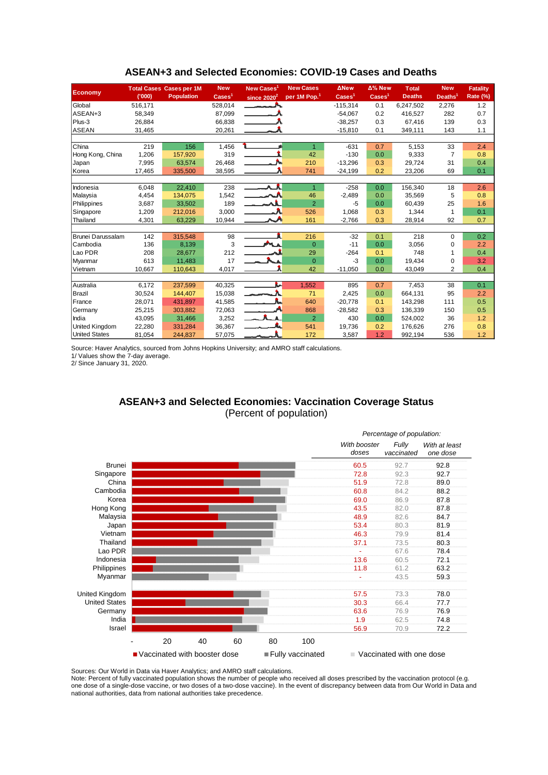| <b>Economy</b>        |         | <b>Total Cases Cases per 1M</b> | <b>New</b>                 | New Cases <sup>1</sup> | <b>New Cases</b>         | <b>ANew</b>              | Δ% New             | <b>Total</b>  | <b>New</b>          | <b>Fatality</b> |
|-----------------------|---------|---------------------------------|----------------------------|------------------------|--------------------------|--------------------------|--------------------|---------------|---------------------|-----------------|
|                       | (000)   | <b>Population</b>               | $\text{Case}$ <sup>1</sup> | since $2020^2$         | per 1M Pop. <sup>1</sup> | $\text{Case} \text{s}^1$ | Cases <sup>1</sup> | <b>Deaths</b> | Deaths <sup>1</sup> | <b>Rate (%)</b> |
| Global                | 516,171 |                                 | 528,014                    |                        |                          | $-115,314$               | 0.1                | 6,247,502     | 2,276               | 1.2             |
| ASEAN+3               | 58,349  |                                 | 87,099                     |                        |                          | $-54,067$                | 0.2                | 416.527       | 282                 | 0.7             |
| $Plus-3$              | 26,884  |                                 | 66,838                     |                        |                          | $-38,257$                | 0.3                | 67,416        | 139                 | 0.3             |
| ASEAN                 | 31,465  |                                 | 20,261                     |                        |                          | $-15,810$                | 0.1                | 349,111       | 143                 | 1.1             |
|                       |         |                                 |                            |                        |                          |                          |                    |               |                     |                 |
| <b>China</b>          | 219     | 156                             | 1,456                      |                        | $\mathbf{1}$             | $-631$                   | 0.7                | 5,153         | 33                  | 2.4             |
| Hong Kong, China      | 1,206   | 157,920                         | 319                        |                        | 42                       | $-130$                   | 0.0                | 9,333         | $\overline{7}$      | 0.8             |
| Japan                 | 7,995   | 63.574                          | 26,468                     |                        | 210                      | $-13,296$                | 0.3                | 29,724        | 31                  | 0.4             |
| Korea                 | 17,465  | 335,500                         | 38,595                     |                        | 741                      | $-24,199$                | 0.2                | 23,206        | 69                  | 0.1             |
|                       |         |                                 |                            |                        |                          |                          |                    |               |                     |                 |
| Indonesia             | 6,048   | 22,410                          | 238                        | ᄉ                      | $\mathbf{1}$             | $-258$                   | 0.0                | 156,340       | 18                  | 2.6             |
| Malaysia              | 4,454   | 134,075                         | 1,542                      |                        | 46                       | $-2,489$                 | 0.0                | 35,569        | 5                   | 0.8             |
| Philippines           | 3,687   | 33,502                          | 189                        | <u>the set</u>         | $\overline{2}$           | $-5$                     | 0.0                | 60,439        | 25                  | 1.6             |
| Singapore             | 1,209   | 212,016                         | 3,000                      |                        | 526                      | 1,068                    | 0.3                | 1,344         | 1                   | 0.1             |
| Thailand              | 4,301   | 63,229                          | 10,944                     | ᄉ                      | 161                      | $-2,766$                 | 0.3                | 28,914        | 92                  | 0.7             |
|                       |         |                                 |                            |                        |                          |                          |                    |               |                     |                 |
| Brunei Darussalam     | 142     | 315,548                         | 98                         |                        | 216                      | $-32$                    | 0.1                | 218           | $\Omega$            | 0.2             |
| Cambodia              | 136     | 8,139                           | 3                          | <b>MLA</b>             | $\overline{0}$           | $-11$                    | 0.0                | 3,056         | $\mathbf 0$         | 2.2             |
| Lao PDR               | 208     | 28.677                          | 212                        |                        | 29                       | $-264$                   | 0.1                | 748           | 1                   | 0.4             |
| Myanmar               | 613     | 11.483                          | 17                         |                        | $\overline{0}$           | $-3$                     | 0.0                | 19,434        | $\mathbf 0$         | 3.2             |
| Vietnam               | 10,667  | 110,643                         | 4,017                      |                        | 42                       | $-11,050$                | 0.0                | 43,049        | $\overline{2}$      | 0.4             |
|                       |         |                                 |                            |                        |                          |                          |                    |               |                     |                 |
| Australia             | 6,172   | 237,599                         | 40,325                     | i.                     | 1,552                    | 895                      | 0.7                | 7,453         | 38                  | 0.1             |
| Brazil                | 30,524  | 144.407                         | 15,038                     | المستريد               | 71                       | 2.425                    | 0.0                | 664.131       | 95                  | 2.2             |
| France                | 28,071  | 431,897                         | 41,585                     |                        | 640                      | $-20,778$                | 0.1                | 143,298       | 111                 | 0.5             |
| Germany               | 25,215  | 303,882                         | 72,063                     |                        | 868                      | $-28,582$                | 0.3                | 136,339       | 150                 | 0.5             |
| India                 | 43,095  | 31,466                          | 3,252                      |                        | $\overline{2}$           | 430                      | 0.0                | 524,002       | 36                  | 1.2             |
| <b>United Kingdom</b> | 22,280  | 331,284                         | 36,367                     |                        | 541                      | 19,736                   | 0.2                | 176,626       | 276                 | 0.8             |
| <b>United States</b>  | 81,054  | 244,837                         | 57,075                     |                        | 172                      | 3,587                    | 1.2                | 992,194       | 536                 | 1.2             |

#### **ASEAN+3 and Selected Economies: COVID-19 Cases and Deaths**

Source: Haver Analytics, sourced from Johns Hopkins University; and AMRO staff calculations.

1/ Values show the 7-day average.

2/ Since January 31, 2020.

## **ASEAN+3 and Selected Economies: Vaccination Coverage Status** (Percent of population)



Sources: Our World in Data via Haver Analytics; and AMRO staff calculations.

Note: Percent of fully vaccinated population shows the number of people who received all doses prescribed by the vaccination protocol (e.g. one dose of a single-dose vaccine, or two doses of a two-dose vaccine). In the event of discrepancy between data from Our World in Data and national authorities, data from national authorities take precedence.